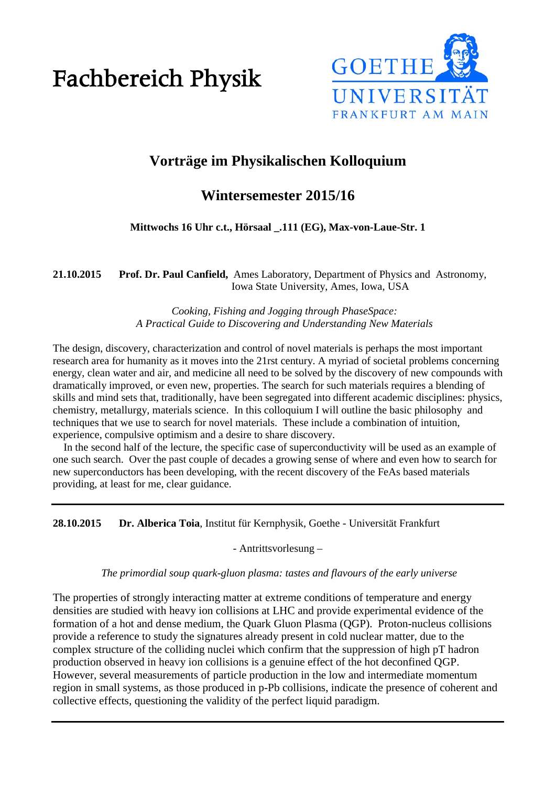# Fachbereich Physik



# **Vorträge im Physikalischen Kolloquium**

# **Wintersemester 2015/16**

# **Mittwochs 16 Uhr c.t., Hörsaal \_.111 (EG), Max-von-Laue-Str. 1**

**21.10.2015 Prof. Dr. Paul Canfield,** Ames Laboratory, Department of Physics and Astronomy, Iowa State University, Ames, Iowa, USA

> *Cooking, Fishing and Jogging through PhaseSpace: A Practical Guide to Discovering and Understanding New Materials*

The design, discovery, characterization and control of novel materials is perhaps the most important research area for humanity as it moves into the 21rst century. A myriad of societal problems concerning energy, clean water and air, and medicine all need to be solved by the discovery of new compounds with dramatically improved, or even new, properties. The search for such materials requires a blending of skills and mind sets that, traditionally, have been segregated into different academic disciplines: physics, chemistry, metallurgy, materials science. In this colloquium I will outline the basic philosophy and techniques that we use to search for novel materials. These include a combination of intuition, experience, compulsive optimism and a desire to share discovery.

 In the second half of the lecture, the specific case of superconductivity will be used as an example of one such search. Over the past couple of decades a growing sense of where and even how to search for new superconductors has been developing, with the recent discovery of the FeAs based materials providing, at least for me, clear guidance.

**28.10.2015 Dr. Alberica Toia**, Institut für Kernphysik, Goethe - Universität Frankfurt

- Antrittsvorlesung –

#### *The primordial soup quark-gluon plasma: tastes and flavours of the early universe*

The properties of strongly interacting matter at extreme conditions of temperature and energy densities are studied with heavy ion collisions at LHC and provide experimental evidence of the formation of a hot and dense medium, the Quark Gluon Plasma (QGP). Proton-nucleus collisions provide a reference to study the signatures already present in cold nuclear matter, due to the complex structure of the colliding nuclei which confirm that the suppression of high pT hadron production observed in heavy ion collisions is a genuine effect of the hot deconfined QGP. However, several measurements of particle production in the low and intermediate momentum region in small systems, as those produced in p-Pb collisions, indicate the presence of coherent and collective effects, questioning the validity of the perfect liquid paradigm.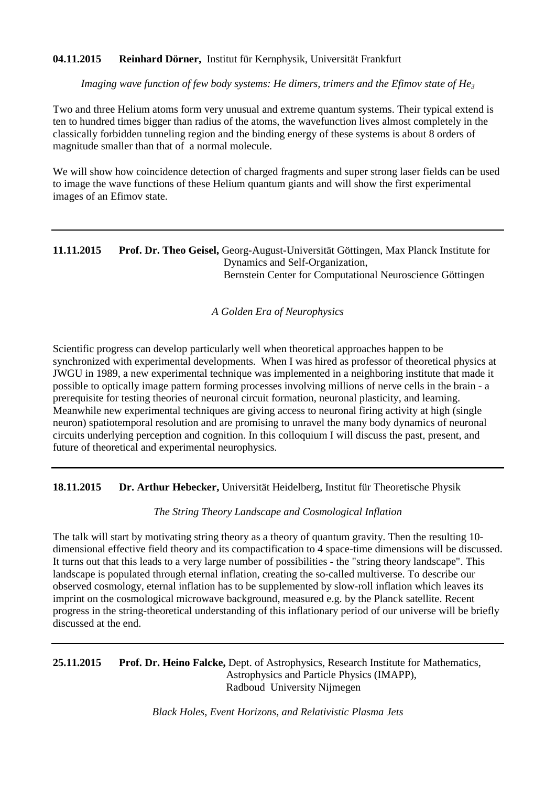# **04.11.2015 Reinhard Dörner,** Institut für Kernphysik, Universität Frankfurt

*Imaging wave function of few body systems: He dimers, trimers and the Efimov state of He3*

Two and three Helium atoms form very unusual and extreme quantum systems. Their typical extend is ten to hundred times bigger than radius of the atoms, the wavefunction lives almost completely in the classically forbidden tunneling region and the binding energy of these systems is about 8 orders of magnitude smaller than that of a normal molecule.

We will show how coincidence detection of charged fragments and super strong laser fields can be used to image the wave functions of these Helium quantum giants and will show the first experimental images of an Efimov state.

# **11.11.2015 Prof. Dr. Theo Geisel,** Georg-August-Universität Göttingen, Max Planck Institute for Dynamics and Self-Organization, Bernstein Center for Computational Neuroscience Göttingen

#### *A Golden Era of Neurophysics*

Scientific progress can develop particularly well when theoretical approaches happen to be synchronized with experimental developments. When I was hired as professor of theoretical physics at JWGU in 1989, a new experimental technique was implemented in a neighboring institute that made it possible to optically image pattern forming processes involving millions of nerve cells in the brain - a prerequisite for testing theories of neuronal circuit formation, neuronal plasticity, and learning. Meanwhile new experimental techniques are giving access to neuronal firing activity at high (single neuron) spatiotemporal resolution and are promising to unravel the many body dynamics of neuronal circuits underlying perception and cognition. In this colloquium I will discuss the past, present, and future of theoretical and experimental neurophysics.

**18.11.2015 Dr. Arthur Hebecker,** Universität Heidelberg, Institut für Theoretische Physik

*The String Theory Landscape and Cosmological Inflation*

The talk will start by motivating string theory as a theory of quantum gravity. Then the resulting 10 dimensional effective field theory and its compactification to 4 space-time dimensions will be discussed. It turns out that this leads to a very large number of possibilities - the "string theory landscape". This landscape is populated through eternal inflation, creating the so-called multiverse. To describe our observed cosmology, eternal inflation has to be supplemented by slow-roll inflation which leaves its imprint on the cosmological microwave background, measured e.g. by the Planck satellite. Recent progress in the string-theoretical understanding of this inflationary period of our universe will be briefly discussed at the end.

**25.11.2015 Prof. Dr. Heino Falcke,** Dept. of Astrophysics, Research Institute for Mathematics, Astrophysics and Particle Physics (IMAPP), Radboud University Nijmegen

*Black Holes, Event Horizons, and Relativistic Plasma Jets*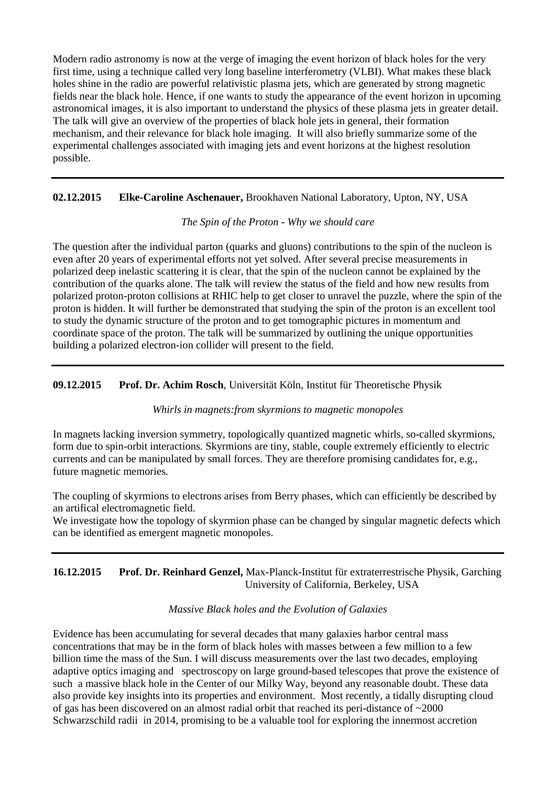Modern radio astronomy is now at the verge of imaging the event horizon of black holes for the very first time, using a technique called very long baseline interferometry (VLBI). What makes these black holes shine in the radio are powerful relativistic plasma jets, which are generated by strong magnetic fields near the black hole. Hence, if one wants to study the appearance of the event horizon in upcoming astronomical images, it is also important to understand the physics of these plasma jets in greater detail. The talk will give an overview of the properties of black hole jets in general, their formation mechanism, and their relevance for black hole imaging. It will also briefly summarize some of the experimental challenges associated with imaging jets and event horizons at the highest resolution possible.

# **02.12.2015 Elke-Caroline Aschenauer,** Brookhaven National Laboratory, Upton, NY, USA

#### *The Spin of the Proton - Why we should care*

The question after the individual parton (quarks and gluons) contributions to the spin of the nucleon is even after 20 years of experimental efforts not yet solved. After several precise measurements in polarized deep inelastic scattering it is clear, that the spin of the nucleon cannot be explained by the contribution of the quarks alone. The talk will review the status of the field and how new results from polarized proton-proton collisions at RHIC help to get closer to unravel the puzzle, where the spin of the proton is hidden. It will further be demonstrated that studying the spin of the proton is an excellent tool to study the dynamic structure of the proton and to get tomographic pictures in momentum and coordinate space of the proton. The talk will be summarized by outlining the unique opportunities building a polarized electron-ion collider will present to the field.

# **09.12.2015 Prof. Dr. Achim Rosch**, Universität Köln, Institut für Theoretische Physik

#### *Whirls in magnets:from skyrmions to magnetic monopoles*

In magnets lacking inversion symmetry, topologically quantized magnetic whirls, so-called skyrmions, form due to spin-orbit interactions. Skyrmions are tiny, stable, couple extremely efficiently to electric currents and can be manipulated by small forces. They are therefore promising candidates for, e.g., future magnetic memories.

The coupling of skyrmions to electrons arises from Berry phases, which can efficiently be described by an artifical electromagnetic field.

We investigate how the topology of skyrmion phase can be changed by singular magnetic defects which can be identified as emergent magnetic monopoles.

# **16.12.2015 Prof. Dr. Reinhard Genzel,** Max-Planck-Institut für extraterrestrische Physik, Garching University of California, Berkeley, USA

#### *Massive Black holes and the Evolution of Galaxies*

Evidence has been accumulating for several decades that many galaxies harbor central mass concentrations that may be in the form of black holes with masses between a few million to a few billion time the mass of the Sun. I will discuss measurements over the last two decades, employing adaptive optics imaging and spectroscopy on large ground-based telescopes that prove the existence of such a massive black hole in the Center of our Milky Way, beyond any reasonable doubt. These data also provide key insights into its properties and environment. Most recently, a tidally disrupting cloud of gas has been discovered on an almost radial orbit that reached its peri-distance of ~2000 Schwarzschild radii in 2014, promising to be a valuable tool for exploring the innermost accretion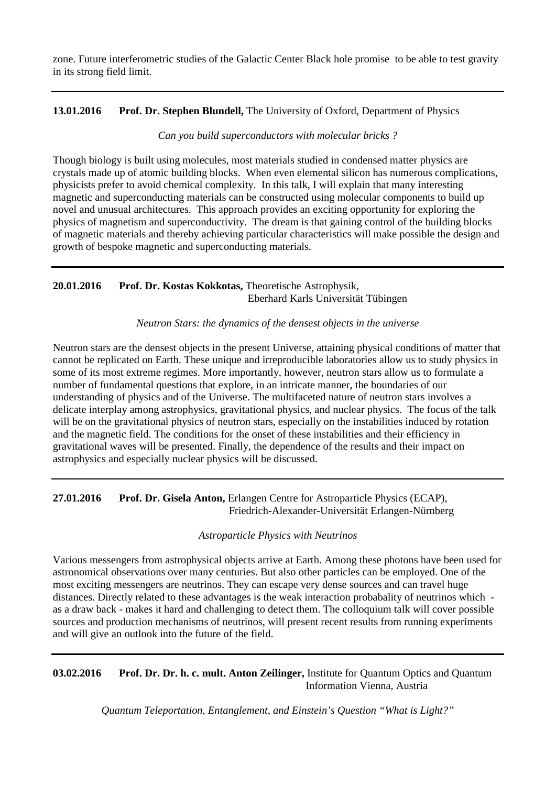zone. Future interferometric studies of the Galactic Center Black hole promise to be able to test gravity in its strong field limit.

# **13.01.2016 Prof. Dr. Stephen Blundell,** The University of Oxford, Department of Physics

*Can you build superconductors with molecular bricks ?*

Though biology is built using molecules, most materials studied in condensed matter physics are crystals made up of atomic building blocks. When even elemental silicon has numerous complications, physicists prefer to avoid chemical complexity. In this talk, I will explain that many interesting magnetic and superconducting materials can be constructed using molecular components to build up novel and unusual architectures. This approach provides an exciting opportunity for exploring the physics of magnetism and superconductivity. The dream is that gaining control of the building blocks of magnetic materials and thereby achieving particular characteristics will make possible the design and growth of bespoke magnetic and superconducting materials.

# **20.01.2016 Prof. Dr. Kostas Kokkotas,** Theoretische Astrophysik, Eberhard Karls Universität Tübingen

*Neutron Stars: the dynamics of the densest objects in the universe*

Neutron stars are the densest objects in the present Universe, attaining physical conditions of matter that cannot be replicated on Earth. These unique and irreproducible laboratories allow us to study physics in some of its most extreme regimes. More importantly, however, neutron stars allow us to formulate a number of fundamental questions that explore, in an intricate manner, the boundaries of our understanding of physics and of the Universe. The multifaceted nature of neutron stars involves a delicate interplay among astrophysics, gravitational physics, and nuclear physics. The focus of the talk will be on the gravitational physics of neutron stars, especially on the instabilities induced by rotation and the magnetic field. The conditions for the onset of these instabilities and their efficiency in gravitational waves will be presented. Finally, the dependence of the results and their impact on astrophysics and especially nuclear physics will be discussed.

# **27.01.2016 Prof. Dr. Gisela Anton,** Erlangen Centre for Astroparticle Physics (ECAP), Friedrich-Alexander-Universität Erlangen-Nürnberg

*Astroparticle Physics with Neutrinos*

Various messengers from astrophysical objects arrive at Earth. Among these photons have been used for astronomical observations over many centuries. But also other particles can be employed. One of the most exciting messengers are neutrinos. They can escape very dense sources and can travel huge distances. Directly related to these advantages is the weak interaction probabality of neutrinos which as a draw back - makes it hard and challenging to detect them. The colloquium talk will cover possible sources and production mechanisms of neutrinos, will present recent results from running experiments and will give an outlook into the future of the field.

**03.02.2016 Prof. Dr. Dr. h. c. mult. Anton Zeilinger,** Institute for Quantum Optics and Quantum Information Vienna, Austria

*Quantum Teleportation, Entanglement, and Einstein's Question "What is Light?"*